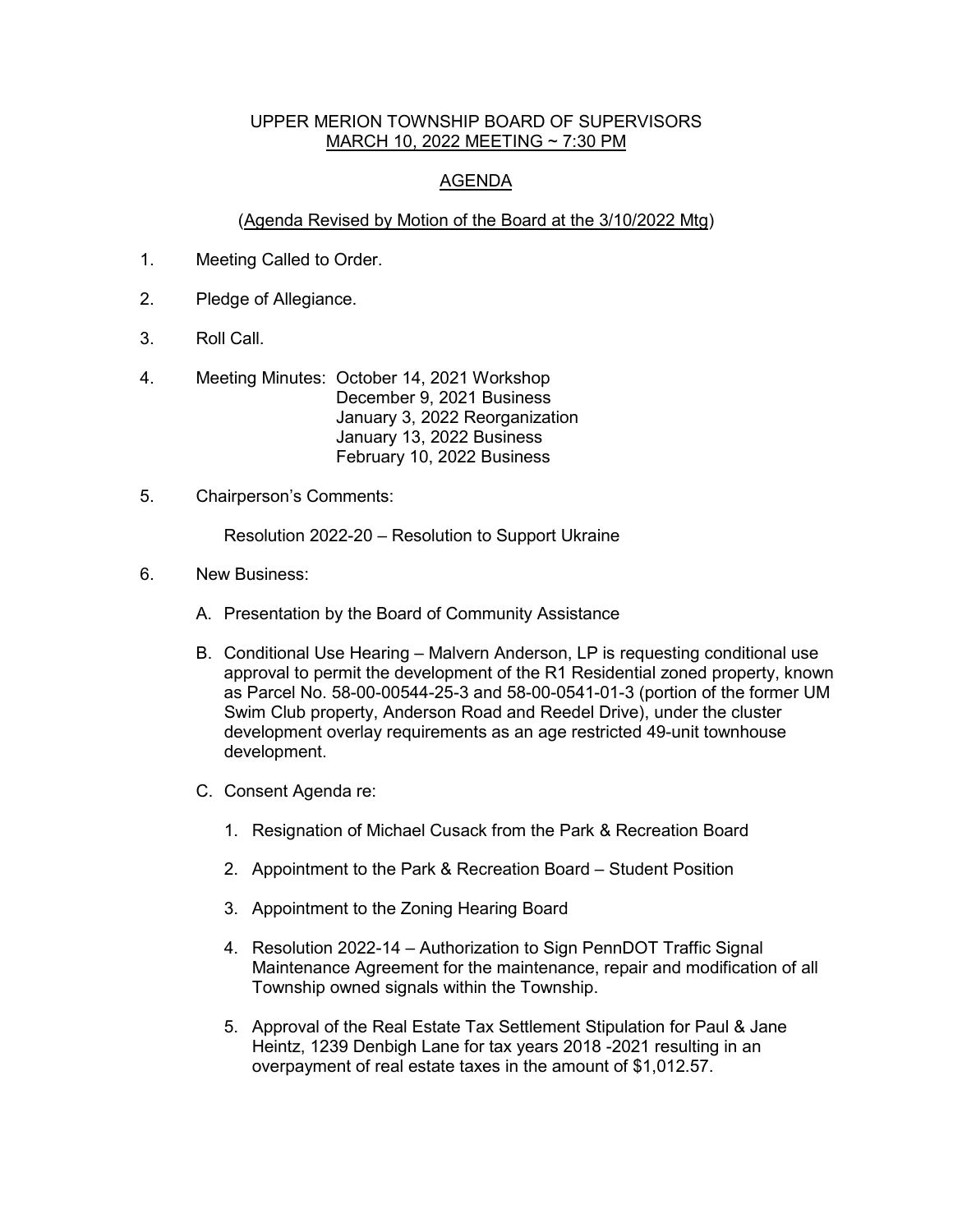## UPPER MERION TOWNSHIP BOARD OF SUPERVISORS MARCH 10, 2022 MEETING ~ 7:30 PM

## AGENDA

## (Agenda Revised by Motion of the Board at the 3/10/2022 Mtg)

- 1. Meeting Called to Order.
- 2. Pledge of Allegiance.
- 3. Roll Call.
- 4. Meeting Minutes: October 14, 2021 Workshop December 9, 2021 Business January 3, 2022 Reorganization January 13, 2022 Business February 10, 2022 Business
- 5. Chairperson's Comments:

Resolution 2022-20 – Resolution to Support Ukraine

- 6. New Business:
	- A. Presentation by the Board of Community Assistance
	- B. Conditional Use Hearing Malvern Anderson, LP is requesting conditional use approval to permit the development of the R1 Residential zoned property, known as Parcel No. 58-00-00544-25-3 and 58-00-0541-01-3 (portion of the former UM Swim Club property, Anderson Road and Reedel Drive), under the cluster development overlay requirements as an age restricted 49-unit townhouse development.
	- C. Consent Agenda re:
		- 1. Resignation of Michael Cusack from the Park & Recreation Board
		- 2. Appointment to the Park & Recreation Board Student Position
		- 3. Appointment to the Zoning Hearing Board
		- 4. Resolution 2022-14 Authorization to Sign PennDOT Traffic Signal Maintenance Agreement for the maintenance, repair and modification of all Township owned signals within the Township.
		- 5. Approval of the Real Estate Tax Settlement Stipulation for Paul & Jane Heintz, 1239 Denbigh Lane for tax years 2018 -2021 resulting in an overpayment of real estate taxes in the amount of \$1,012.57.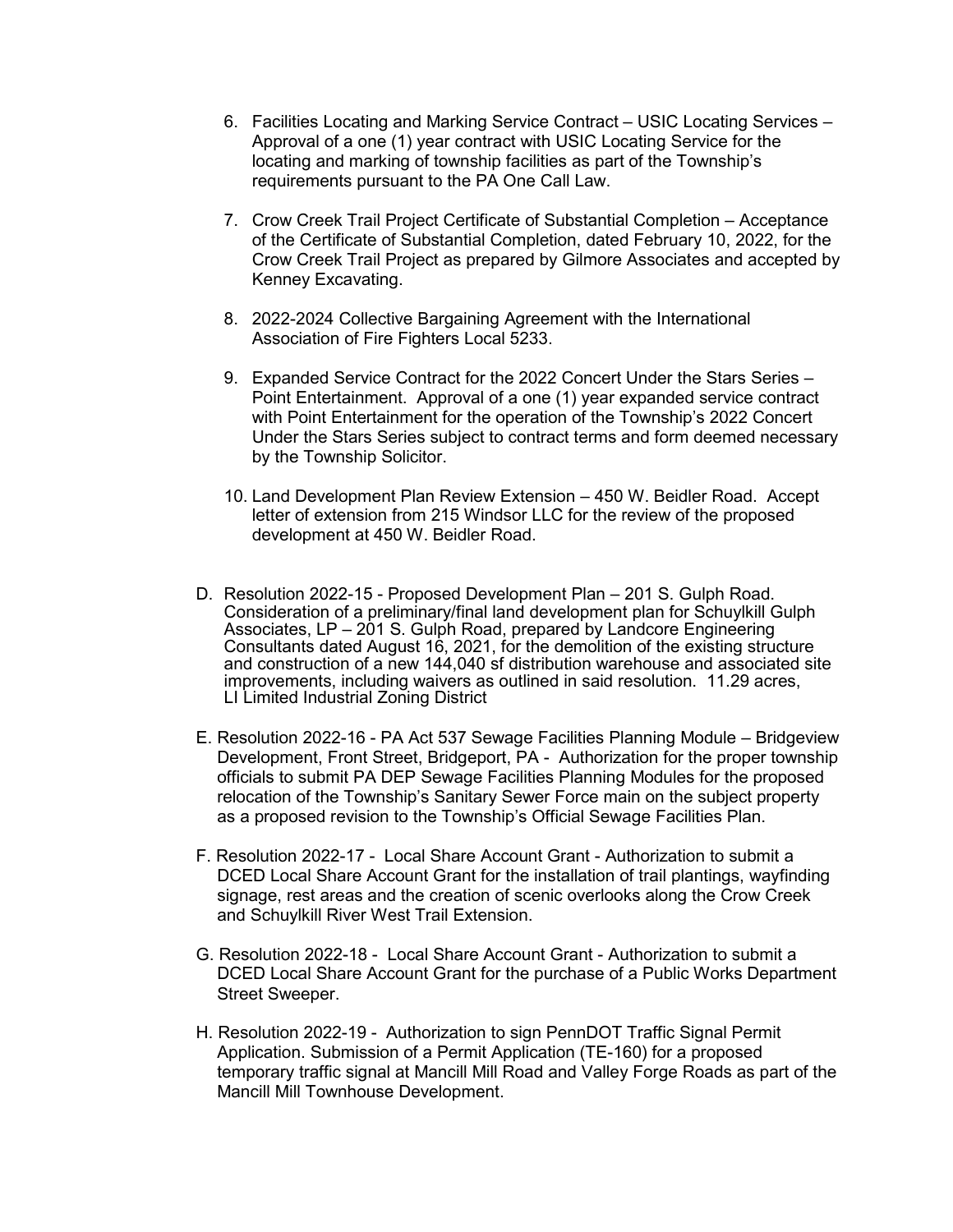- 6. Facilities Locating and Marking Service Contract USIC Locating Services Approval of a one (1) year contract with USIC Locating Service for the locating and marking of township facilities as part of the Township's requirements pursuant to the PA One Call Law.
- 7. Crow Creek Trail Project Certificate of Substantial Completion Acceptance of the Certificate of Substantial Completion, dated February 10, 2022, for the Crow Creek Trail Project as prepared by Gilmore Associates and accepted by Kenney Excavating.
- 8. 2022-2024 Collective Bargaining Agreement with the International Association of Fire Fighters Local 5233.
- 9. Expanded Service Contract for the 2022 Concert Under the Stars Series Point Entertainment. Approval of a one (1) year expanded service contract with Point Entertainment for the operation of the Township's 2022 Concert Under the Stars Series subject to contract terms and form deemed necessary by the Township Solicitor.
- 10. Land Development Plan Review Extension 450 W. Beidler Road. Accept letter of extension from 215 Windsor LLC for the review of the proposed development at 450 W. Beidler Road.
- D. Resolution 2022-15 Proposed Development Plan 201 S. Gulph Road. Consideration of a preliminary/final land development plan for Schuylkill Gulph Associates, LP - 201 S. Gulph Road, prepared by Landcore Engineering Consultants dated August 16, 2021, for the demolition of the existing structure and construction of a new 144,040 sf distribution warehouse and associated site improvements, including waivers as outlined in said resolution. 11.29 acres, LI Limited Industrial Zoning District
- E. Resolution 2022-16 PA Act 537 Sewage Facilities Planning Module Bridgeview Development, Front Street, Bridgeport, PA - Authorization for the proper township officials to submit PA DEP Sewage Facilities Planning Modules for the proposed relocation of the Township's Sanitary Sewer Force main on the subject property as a proposed revision to the Township's Official Sewage Facilities Plan.
- F. Resolution 2022-17 Local Share Account Grant Authorization to submit a DCED Local Share Account Grant for the installation of trail plantings, wayfinding signage, rest areas and the creation of scenic overlooks along the Crow Creek and Schuylkill River West Trail Extension.
- G. Resolution 2022-18 Local Share Account Grant Authorization to submit a DCED Local Share Account Grant for the purchase of a Public Works Department Street Sweeper.
- H. Resolution 2022-19 Authorization to sign PennDOT Traffic Signal Permit Application. Submission of a Permit Application (TE-160) for a proposed temporary traffic signal at Mancill Mill Road and Valley Forge Roads as part of the Mancill Mill Townhouse Development.